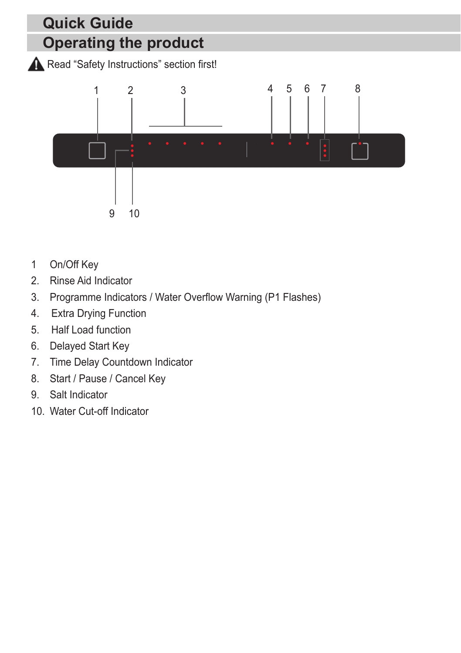## **Operating the product Quick Guide**

Read "Safety Instructions" section first!



- 1 On/Off Key
- 2. Rinse Aid Indicator
- 3. Programme Indicators / Water Overflow Warning (P1 Flashes)
- 4. Extra Drying Function
- 5. Half Load function
- 6. Delayed Start Key
- 7. Time Delay Countdown Indicator
- 8. Start / Pause / Cancel Key
- 9. Salt Indicator
- 10. Water Cut-off Indicator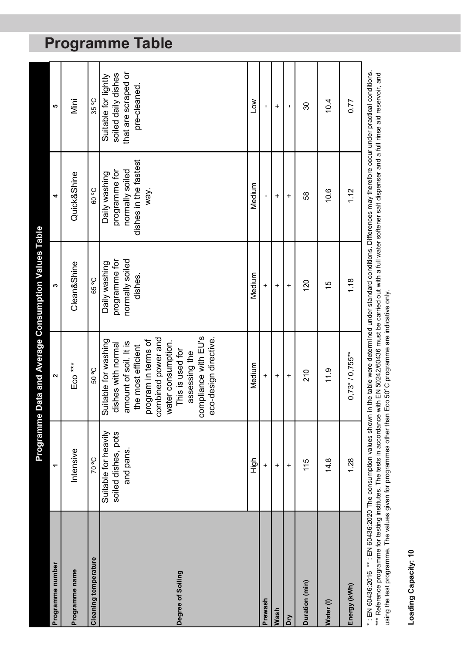|                                                                                                                                                                                      |                                                          | <b>Programme Data and Average Consumption Values Table</b>                                                                                                                                                                                         |                                                              |                                                                                    |                                                                                    |
|--------------------------------------------------------------------------------------------------------------------------------------------------------------------------------------|----------------------------------------------------------|----------------------------------------------------------------------------------------------------------------------------------------------------------------------------------------------------------------------------------------------------|--------------------------------------------------------------|------------------------------------------------------------------------------------|------------------------------------------------------------------------------------|
| Programme number                                                                                                                                                                     | ۳                                                        | $\sim$                                                                                                                                                                                                                                             | S                                                            | 4                                                                                  | မာ                                                                                 |
| Programme name                                                                                                                                                                       | Intensive                                                | Eco ***                                                                                                                                                                                                                                            | Clean&Shine                                                  | Quick&Shine                                                                        | Mini                                                                               |
| <b>Cleaning temperature</b>                                                                                                                                                          | <b>2°07</b>                                              | 50 °C                                                                                                                                                                                                                                              | 65°C                                                         | <b>90 °C</b>                                                                       | 35 °C                                                                              |
| Degree of Soiling                                                                                                                                                                    | Suitable for heavily<br>soiled dishes, pots<br>and pans. | compliance with EU's<br>eco-design directive.<br>combined power and<br>Suitable for washing<br>program in terms of<br>water consumption.<br>amount of soil. It is<br>dishes with normal<br>the most efficient<br>This is used for<br>assessing the | normally soiled<br>programme for<br>Daily washing<br>dishes. | dishes in the fastest<br>normally soiled<br>programme for<br>Daily washing<br>way. | soiled daily dishes<br>that are scraped or<br>Suitable for lightly<br>pre-cleaned. |
|                                                                                                                                                                                      | High                                                     | Medium                                                                                                                                                                                                                                             | Medium                                                       | Medium                                                                             | Low                                                                                |
| Prewash                                                                                                                                                                              | $\ddot{}$                                                | $\ddot{}$                                                                                                                                                                                                                                          | $\ddot{}$                                                    |                                                                                    |                                                                                    |
| Wash                                                                                                                                                                                 | $\ddot{}$                                                | $\ddot{}$                                                                                                                                                                                                                                          | $\ddot{}$                                                    | $\ddot{}$                                                                          | $\ddot{}$                                                                          |
| Dry                                                                                                                                                                                  | $\ddot{}$                                                | $\ddot{}$                                                                                                                                                                                                                                          | $\ddot{}$                                                    | $\ddot{}$                                                                          |                                                                                    |
| Duration (min)                                                                                                                                                                       | 115                                                      | 210                                                                                                                                                                                                                                                | 120                                                          | 58                                                                                 | 30                                                                                 |
| Water (I)                                                                                                                                                                            | 14.8                                                     | 11.9                                                                                                                                                                                                                                               | $\frac{6}{5}$                                                | 10.6                                                                               | 10.4                                                                               |
| Energy (kWh)                                                                                                                                                                         | 1.28                                                     | $0,73*/0,755***$                                                                                                                                                                                                                                   | 1.18                                                         | 1.12                                                                               | 0.77                                                                               |
| *. EN 60436:2016 ** . EN 60436:2020 The consumption values shown in the table were determined under standard conditions. Differences may therefore occur under practical conditions. |                                                          |                                                                                                                                                                                                                                                    |                                                              |                                                                                    |                                                                                    |

\*\*\* Reference programme for testing institutes. The tests in accordance with EN 50242/60436 must be carried out with a full water softener sail dispenser and a full rinse aid reservoir, and \*\*\* Reference programme for testing institutes. The tests in accordance with EN 50242/60436 must be carried out with a full water softener salt dispenser and a full rinse aid reservoir, and using the test programme. The values given for programmes other than Eco 50°C programme are indicative only. using the test programme. The values given for programmes other than Eco 50°C programme are indicative only.

**Loading Capacity: 10**

Loading Capacity: 10

# **Programme Table**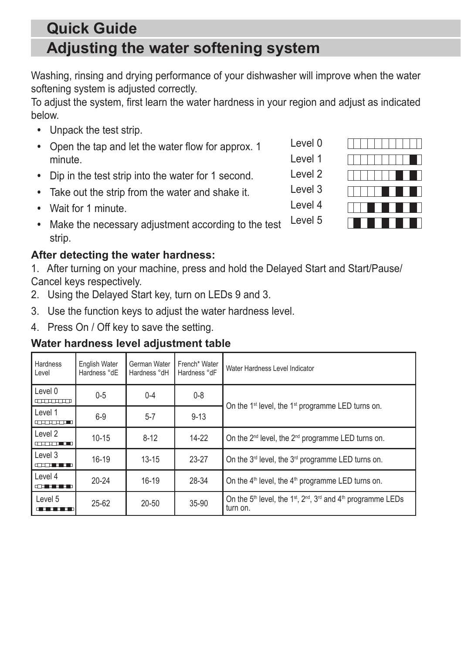### **Adjusting the water softening system Quick Guide**

Washing, rinsing and drying performance of your dishwasher will improve when the water softening system is adjusted correctly.

To adjust the system, first learn the water hardness in your region and adjust as indicated below.

- **•** Unpack the test strip.
- **•** Open the tap and let the water flow for approx. 1 minute.
- **•** Dip in the test strip into the water for 1 second.
- **•** Take out the strip from the water and shake it.
- **•** Wait for 1 minute.
- **•** Make the necessary adjustment according to the test strip. Level 5

#### **After detecting the water hardness:**

1. After turning on your machine, press and hold the Delayed Start and Start/Pause/ Cancel keys respectively.

- 2. Using the Delayed Start key, turn on LEDs 9 and 3.
- 3. Use the function keys to adjust the water hardness level.
- 4. Press On / Off key to save the setting.

#### **Water hardness level adjustment table**

| Hardness<br>Level                                                                                                                 | English Water<br>Hardness °dE | German Water<br>Hardness °dH | French <sup>*</sup> Water<br>Hardness °dF | Water Hardness Level Indicator                                                                                         |
|-----------------------------------------------------------------------------------------------------------------------------------|-------------------------------|------------------------------|-------------------------------------------|------------------------------------------------------------------------------------------------------------------------|
| Level 0<br>ananan                                                                                                                 | $0 - 5$                       | $0 - 4$                      | $0 - 8$                                   |                                                                                                                        |
| Level 1<br>and and an                                                                                                             | $6-9$                         | $5 - 7$                      | $9 - 13$                                  | On the 1 <sup>st</sup> level, the 1 <sup>st</sup> programme LED turns on.                                              |
| Level 2<br>and the state of                                                                                                       | $10 - 15$                     | $8 - 12$                     | $14-22$                                   | On the 2 <sup>nd</sup> level, the 2 <sup>nd</sup> programme LED turns on.                                              |
| Level 3<br>الكافيات                                                                                                               | $16-19$                       | $13 - 15$                    | $23-27$                                   | On the 3 <sup>rd</sup> level, the 3 <sup>rd</sup> programme LED turns on.                                              |
| Level 4<br>$\overline{\phantom{a}}$                                                                                               | $20 - 24$                     | $16-19$                      | 28-34                                     | On the 4 <sup>th</sup> level, the 4 <sup>th</sup> programme LED turns on.                                              |
| Level 5<br><u> Tanzania de la provincia de la provincia de la provincia de la provincia de la provincia de la provincia de la</u> | $25 - 62$                     | $20 - 50$                    | 35-90                                     | On the 5 <sup>th</sup> level, the 1 <sup>st</sup> , $2^{nd}$ , $3^{rd}$ and 4 <sup>th</sup> programme LEDs<br>turn on. |



Level 0 Level 1 Level 2

Level 3

Level 4